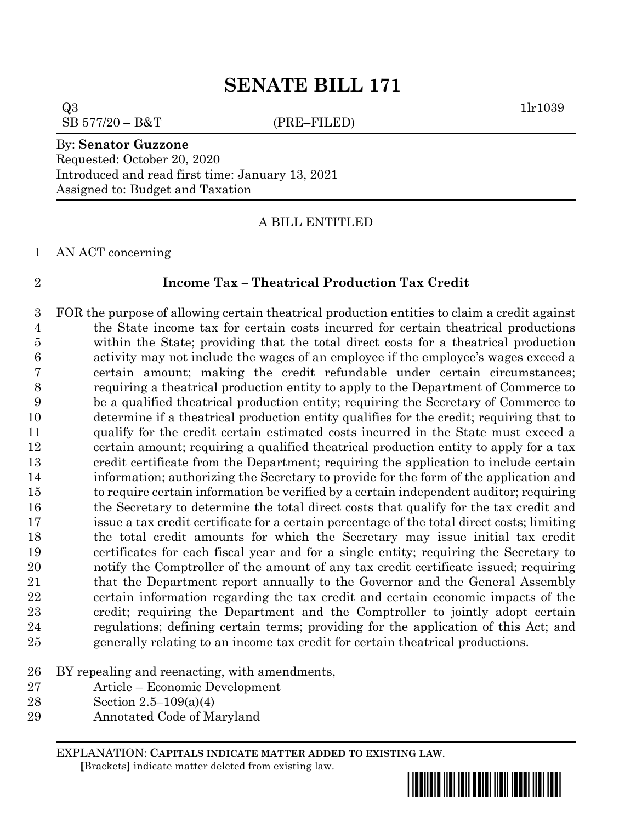# **SENATE BILL 171**

 $Q3$  1lr1039  $SB 577/20 - B&T$  (PRE–FILED)

#### By: **Senator Guzzone**

Requested: October 20, 2020 Introduced and read first time: January 13, 2021 Assigned to: Budget and Taxation

A BILL ENTITLED

AN ACT concerning

### **Income Tax – Theatrical Production Tax Credit**

 FOR the purpose of allowing certain theatrical production entities to claim a credit against the State income tax for certain costs incurred for certain theatrical productions within the State; providing that the total direct costs for a theatrical production activity may not include the wages of an employee if the employee's wages exceed a certain amount; making the credit refundable under certain circumstances; requiring a theatrical production entity to apply to the Department of Commerce to be a qualified theatrical production entity; requiring the Secretary of Commerce to determine if a theatrical production entity qualifies for the credit; requiring that to qualify for the credit certain estimated costs incurred in the State must exceed a certain amount; requiring a qualified theatrical production entity to apply for a tax credit certificate from the Department; requiring the application to include certain information; authorizing the Secretary to provide for the form of the application and to require certain information be verified by a certain independent auditor; requiring 16 the Secretary to determine the total direct costs that qualify for the tax credit and issue a tax credit certificate for a certain percentage of the total direct costs; limiting the total credit amounts for which the Secretary may issue initial tax credit certificates for each fiscal year and for a single entity; requiring the Secretary to notify the Comptroller of the amount of any tax credit certificate issued; requiring 21 that the Department report annually to the Governor and the General Assembly certain information regarding the tax credit and certain economic impacts of the credit; requiring the Department and the Comptroller to jointly adopt certain regulations; defining certain terms; providing for the application of this Act; and generally relating to an income tax credit for certain theatrical productions.

### BY repealing and reenacting, with amendments,

- Article Economic Development
- Section 2.5–109(a)(4)
- Annotated Code of Maryland

EXPLANATION: **CAPITALS INDICATE MATTER ADDED TO EXISTING LAW**.  **[**Brackets**]** indicate matter deleted from existing law.

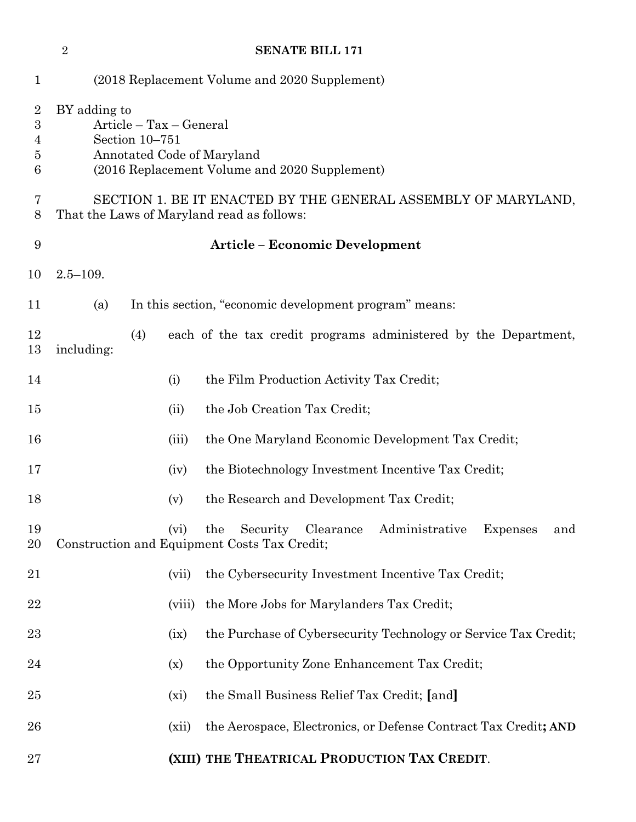|                                    | $\overline{2}$                                                                                                                           |         | <b>SENATE BILL 171</b>                                                                                                |  |
|------------------------------------|------------------------------------------------------------------------------------------------------------------------------------------|---------|-----------------------------------------------------------------------------------------------------------------------|--|
| $\mathbf 1$                        |                                                                                                                                          |         | (2018 Replacement Volume and 2020 Supplement)                                                                         |  |
| $\overline{2}$<br>3<br>4<br>5<br>6 | BY adding to<br>Article – Tax – General<br>Section 10-751<br>Annotated Code of Maryland<br>(2016 Replacement Volume and 2020 Supplement) |         |                                                                                                                       |  |
| 7<br>8                             | SECTION 1. BE IT ENACTED BY THE GENERAL ASSEMBLY OF MARYLAND,<br>That the Laws of Maryland read as follows:                              |         |                                                                                                                       |  |
| 9                                  |                                                                                                                                          |         | <b>Article - Economic Development</b>                                                                                 |  |
| 10                                 | $2.5 - 109.$                                                                                                                             |         |                                                                                                                       |  |
| 11                                 | (a)                                                                                                                                      |         | In this section, "economic development program" means:                                                                |  |
| 12<br>13                           | (4)<br>including:                                                                                                                        |         | each of the tax credit programs administered by the Department,                                                       |  |
| 14                                 |                                                                                                                                          | (i)     | the Film Production Activity Tax Credit;                                                                              |  |
| 15                                 |                                                                                                                                          | (ii)    | the Job Creation Tax Credit;                                                                                          |  |
| 16                                 |                                                                                                                                          | (iii)   | the One Maryland Economic Development Tax Credit;                                                                     |  |
| 17                                 |                                                                                                                                          | (iv)    | the Biotechnology Investment Incentive Tax Credit;                                                                    |  |
| 18                                 |                                                                                                                                          | (v)     | the Research and Development Tax Credit;                                                                              |  |
| 19<br>20                           |                                                                                                                                          | $(v_i)$ | Security Clearance<br>Administrative<br><b>Expenses</b><br>the<br>and<br>Construction and Equipment Costs Tax Credit; |  |
| 21                                 |                                                                                                                                          | (vii)   | the Cybersecurity Investment Incentive Tax Credit;                                                                    |  |
| $22\,$                             |                                                                                                                                          | (viii)  | the More Jobs for Marylanders Tax Credit;                                                                             |  |
| $^{23}$                            |                                                                                                                                          | (ix)    | the Purchase of Cybersecurity Technology or Service Tax Credit;                                                       |  |
| 24                                 |                                                                                                                                          | (x)     | the Opportunity Zone Enhancement Tax Credit;                                                                          |  |
| 25                                 |                                                                                                                                          | $(x_i)$ | the Small Business Relief Tax Credit; [and]                                                                           |  |
| 26                                 |                                                                                                                                          | (xii)   | the Aerospace, Electronics, or Defense Contract Tax Credit; AND                                                       |  |
| $27\,$                             |                                                                                                                                          |         | (XIII) THE THEATRICAL PRODUCTION TAX CREDIT.                                                                          |  |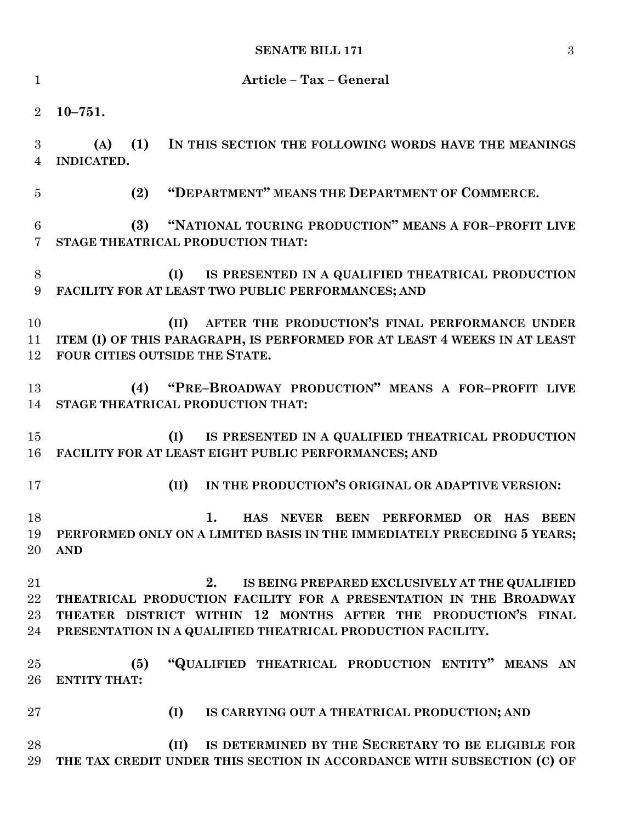## **SENATE BILL 171** 3

| $\mathbf{1}$                      | Article - Tax - General                                                                                                                                                                                                                                    |  |  |  |
|-----------------------------------|------------------------------------------------------------------------------------------------------------------------------------------------------------------------------------------------------------------------------------------------------------|--|--|--|
| $\overline{2}$                    | $10 - 751.$                                                                                                                                                                                                                                                |  |  |  |
| 3<br>$\overline{4}$               | (1)<br>IN THIS SECTION THE FOLLOWING WORDS HAVE THE MEANINGS<br>(A)<br>INDICATED.                                                                                                                                                                          |  |  |  |
| $\overline{5}$                    | "DEPARTMENT" MEANS THE DEPARTMENT OF COMMERCE.<br>(2)                                                                                                                                                                                                      |  |  |  |
| $6\phantom{.}6$<br>$\overline{7}$ | "NATIONAL TOURING PRODUCTION" MEANS A FOR-PROFIT LIVE<br>(3)<br>STAGE THEATRICAL PRODUCTION THAT:                                                                                                                                                          |  |  |  |
| 8<br>9                            | (I)<br>IS PRESENTED IN A QUALIFIED THEATRICAL PRODUCTION<br>FACILITY FOR AT LEAST TWO PUBLIC PERFORMANCES; AND                                                                                                                                             |  |  |  |
| 10<br>11<br>12                    | (II) AFTER THE PRODUCTION'S FINAL PERFORMANCE UNDER<br>ITEM (I) OF THIS PARAGRAPH, IS PERFORMED FOR AT LEAST 4 WEEKS IN AT LEAST<br>FOUR CITIES OUTSIDE THE STATE.                                                                                         |  |  |  |
| 13<br>14                          | (4) "PRE-BROADWAY PRODUCTION" MEANS A FOR-PROFIT LIVE<br>STAGE THEATRICAL PRODUCTION THAT:                                                                                                                                                                 |  |  |  |
| 15<br>16                          | (I)<br>IS PRESENTED IN A QUALIFIED THEATRICAL PRODUCTION<br>FACILITY FOR AT LEAST EIGHT PUBLIC PERFORMANCES; AND                                                                                                                                           |  |  |  |
| 17                                | IN THE PRODUCTION'S ORIGINAL OR ADAPTIVE VERSION:<br>(II)                                                                                                                                                                                                  |  |  |  |
| 18<br>20                          | 1.<br>HAS NEVER BEEN PERFORMED<br>OR HAS BEEN<br>19 PERFORMED ONLY ON A LIMITED BASIS IN THE IMMEDIATELY PRECEDING 5 YEARS;<br><b>AND</b>                                                                                                                  |  |  |  |
| 21<br>$22\,$<br>23<br>24          | IS BEING PREPARED EXCLUSIVELY AT THE QUALIFIED<br>2.<br>THEATRICAL PRODUCTION FACILITY FOR A PRESENTATION IN THE BROADWAY<br>THEATER DISTRICT WITHIN 12 MONTHS AFTER THE PRODUCTION'S FINAL<br>PRESENTATION IN A QUALIFIED THEATRICAL PRODUCTION FACILITY. |  |  |  |
| 25<br>26                          | "QUALIFIED THEATRICAL PRODUCTION ENTITY" MEANS AN<br>(5)<br><b>ENTITY THAT:</b>                                                                                                                                                                            |  |  |  |
| $27\,$                            | (I)<br>IS CARRYING OUT A THEATRICAL PRODUCTION; AND                                                                                                                                                                                                        |  |  |  |
| 28<br>29                          | IS DETERMINED BY THE SECRETARY TO BE ELIGIBLE FOR<br>(II)<br>THE TAX CREDIT UNDER THIS SECTION IN ACCORDANCE WITH SUBSECTION (C) OF                                                                                                                        |  |  |  |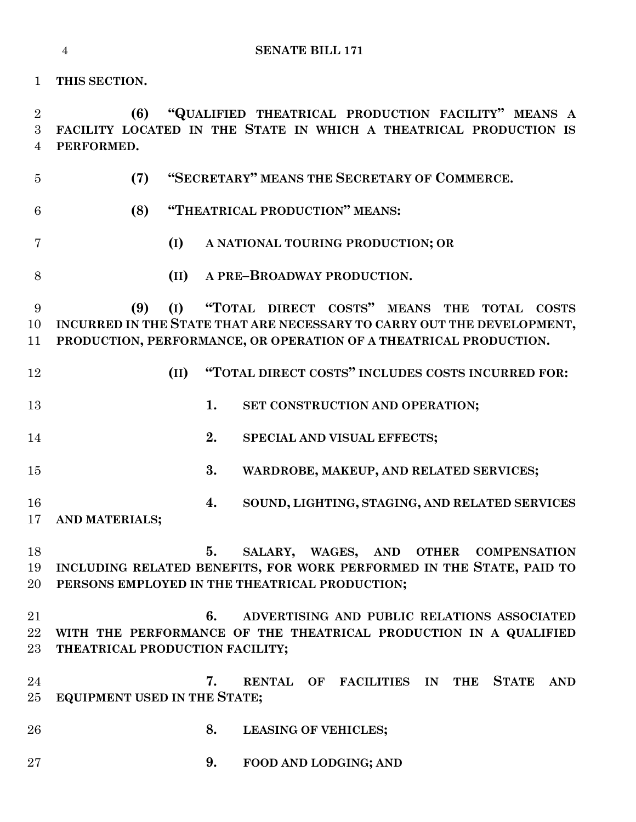**(7) "SECRETARY" MEANS THE SECRETARY OF COMMERCE. (8) "THEATRICAL PRODUCTION" MEANS: (I) A NATIONAL TOURING PRODUCTION; OR (II) A PRE–BROADWAY PRODUCTION. (9) (I) "TOTAL DIRECT COSTS" MEANS THE TOTAL COSTS INCURRED IN THE STATE THAT ARE NECESSARY TO CARRY OUT THE DEVELOPMENT, PRODUCTION, PERFORMANCE, OR OPERATION OF A THEATRICAL PRODUCTION. (II) "TOTAL DIRECT COSTS" INCLUDES COSTS INCURRED FOR: 1. SET CONSTRUCTION AND OPERATION; 2. SPECIAL AND VISUAL EFFECTS; 3. WARDROBE, MAKEUP, AND RELATED SERVICES; 4. SOUND, LIGHTING, STAGING, AND RELATED SERVICES AND MATERIALS; 5. SALARY, WAGES, AND OTHER COMPENSATION INCLUDING RELATED BENEFITS, FOR WORK PERFORMED IN THE STATE, PAID TO PERSONS EMPLOYED IN THE THEATRICAL PRODUCTION; 6. ADVERTISING AND PUBLIC RELATIONS ASSOCIATED WITH THE PERFORMANCE OF THE THEATRICAL PRODUCTION IN A QUALIFIED THEATRICAL PRODUCTION FACILITY; 7. RENTAL OF FACILITIES IN THE STATE AND EQUIPMENT USED IN THE STATE; 8. LEASING OF VEHICLES; 9. FOOD AND LODGING; AND**

 **(6) "QUALIFIED THEATRICAL PRODUCTION FACILITY" MEANS A FACILITY LOCATED IN THE STATE IN WHICH A THEATRICAL PRODUCTION IS PERFORMED.**

**THIS SECTION.**

**SENATE BILL 171**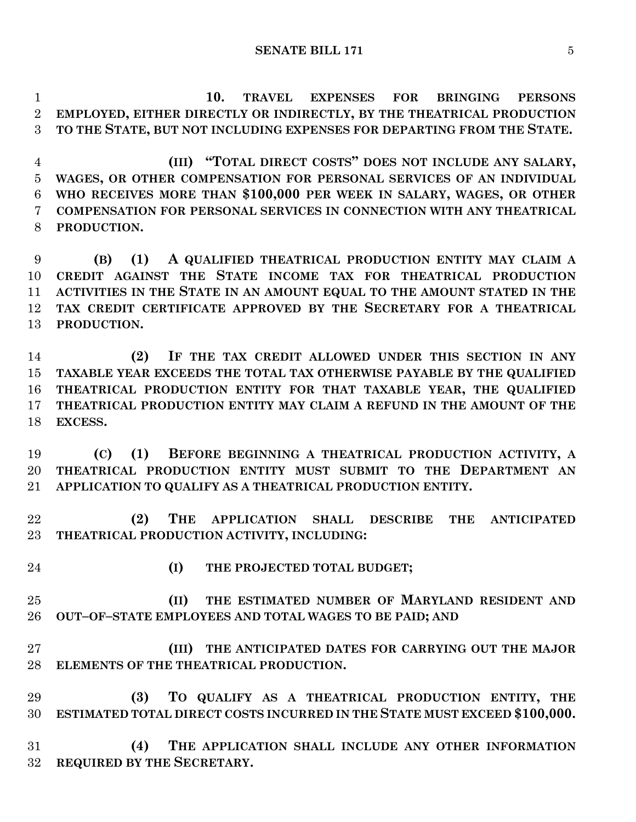**10. TRAVEL EXPENSES FOR BRINGING PERSONS EMPLOYED, EITHER DIRECTLY OR INDIRECTLY, BY THE THEATRICAL PRODUCTION TO THE STATE, BUT NOT INCLUDING EXPENSES FOR DEPARTING FROM THE STATE.**

 **(III) "TOTAL DIRECT COSTS" DOES NOT INCLUDE ANY SALARY, WAGES, OR OTHER COMPENSATION FOR PERSONAL SERVICES OF AN INDIVIDUAL WHO RECEIVES MORE THAN \$100,000 PER WEEK IN SALARY, WAGES, OR OTHER COMPENSATION FOR PERSONAL SERVICES IN CONNECTION WITH ANY THEATRICAL PRODUCTION.**

 **(B) (1) A QUALIFIED THEATRICAL PRODUCTION ENTITY MAY CLAIM A CREDIT AGAINST THE STATE INCOME TAX FOR THEATRICAL PRODUCTION ACTIVITIES IN THE STATE IN AN AMOUNT EQUAL TO THE AMOUNT STATED IN THE TAX CREDIT CERTIFICATE APPROVED BY THE SECRETARY FOR A THEATRICAL PRODUCTION.**

 **(2) IF THE TAX CREDIT ALLOWED UNDER THIS SECTION IN ANY TAXABLE YEAR EXCEEDS THE TOTAL TAX OTHERWISE PAYABLE BY THE QUALIFIED THEATRICAL PRODUCTION ENTITY FOR THAT TAXABLE YEAR, THE QUALIFIED THEATRICAL PRODUCTION ENTITY MAY CLAIM A REFUND IN THE AMOUNT OF THE EXCESS.**

 **(C) (1) BEFORE BEGINNING A THEATRICAL PRODUCTION ACTIVITY, A THEATRICAL PRODUCTION ENTITY MUST SUBMIT TO THE DEPARTMENT AN APPLICATION TO QUALIFY AS A THEATRICAL PRODUCTION ENTITY.**

 **(2) THE APPLICATION SHALL DESCRIBE THE ANTICIPATED THEATRICAL PRODUCTION ACTIVITY, INCLUDING:**

- 
- **(I) THE PROJECTED TOTAL BUDGET;**

 **(II) THE ESTIMATED NUMBER OF MARYLAND RESIDENT AND OUT–OF–STATE EMPLOYEES AND TOTAL WAGES TO BE PAID; AND**

 **(III) THE ANTICIPATED DATES FOR CARRYING OUT THE MAJOR ELEMENTS OF THE THEATRICAL PRODUCTION.**

 **(3) TO QUALIFY AS A THEATRICAL PRODUCTION ENTITY, THE ESTIMATED TOTAL DIRECT COSTS INCURRED IN THE STATE MUST EXCEED \$100,000.**

 **(4) THE APPLICATION SHALL INCLUDE ANY OTHER INFORMATION REQUIRED BY THE SECRETARY.**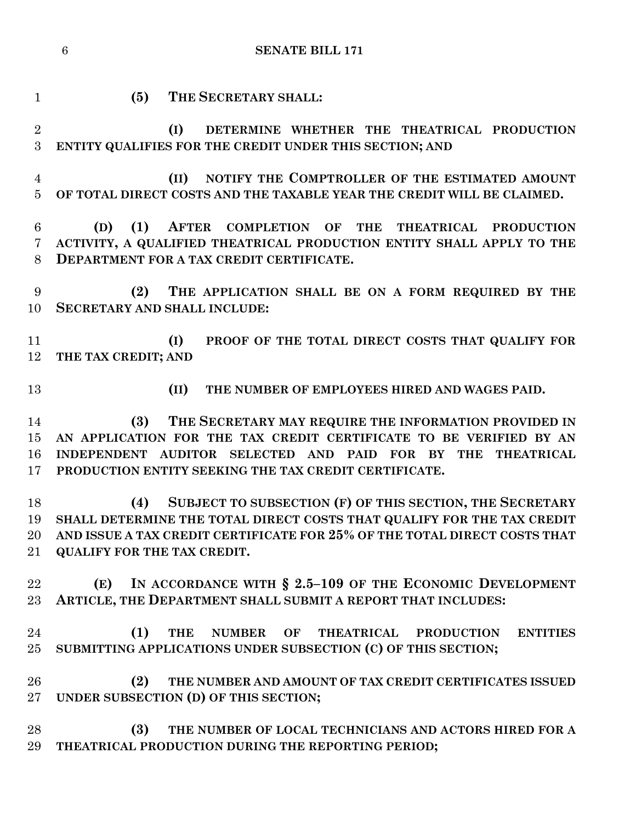**(5) THE SECRETARY SHALL: (I) DETERMINE WHETHER THE THEATRICAL PRODUCTION ENTITY QUALIFIES FOR THE CREDIT UNDER THIS SECTION; AND (II) NOTIFY THE COMPTROLLER OF THE ESTIMATED AMOUNT OF TOTAL DIRECT COSTS AND THE TAXABLE YEAR THE CREDIT WILL BE CLAIMED. (D) (1) AFTER COMPLETION OF THE THEATRICAL PRODUCTION ACTIVITY, A QUALIFIED THEATRICAL PRODUCTION ENTITY SHALL APPLY TO THE DEPARTMENT FOR A TAX CREDIT CERTIFICATE. (2) THE APPLICATION SHALL BE ON A FORM REQUIRED BY THE SECRETARY AND SHALL INCLUDE: (I) PROOF OF THE TOTAL DIRECT COSTS THAT QUALIFY FOR THE TAX CREDIT; AND (II) THE NUMBER OF EMPLOYEES HIRED AND WAGES PAID. (3) THE SECRETARY MAY REQUIRE THE INFORMATION PROVIDED IN AN APPLICATION FOR THE TAX CREDIT CERTIFICATE TO BE VERIFIED BY AN INDEPENDENT AUDITOR SELECTED AND PAID FOR BY THE THEATRICAL PRODUCTION ENTITY SEEKING THE TAX CREDIT CERTIFICATE. (4) SUBJECT TO SUBSECTION (F) OF THIS SECTION, THE SECRETARY SHALL DETERMINE THE TOTAL DIRECT COSTS THAT QUALIFY FOR THE TAX CREDIT AND ISSUE A TAX CREDIT CERTIFICATE FOR 25% OF THE TOTAL DIRECT COSTS THAT QUALIFY FOR THE TAX CREDIT. (E) IN ACCORDANCE WITH § 2.5–109 OF THE ECONOMIC DEVELOPMENT ARTICLE, THE DEPARTMENT SHALL SUBMIT A REPORT THAT INCLUDES: (1) THE NUMBER OF THEATRICAL PRODUCTION ENTITIES SUBMITTING APPLICATIONS UNDER SUBSECTION (C) OF THIS SECTION; (2) THE NUMBER AND AMOUNT OF TAX CREDIT CERTIFICATES ISSUED UNDER SUBSECTION (D) OF THIS SECTION; (3) THE NUMBER OF LOCAL TECHNICIANS AND ACTORS HIRED FOR A THEATRICAL PRODUCTION DURING THE REPORTING PERIOD;**

**SENATE BILL 171**